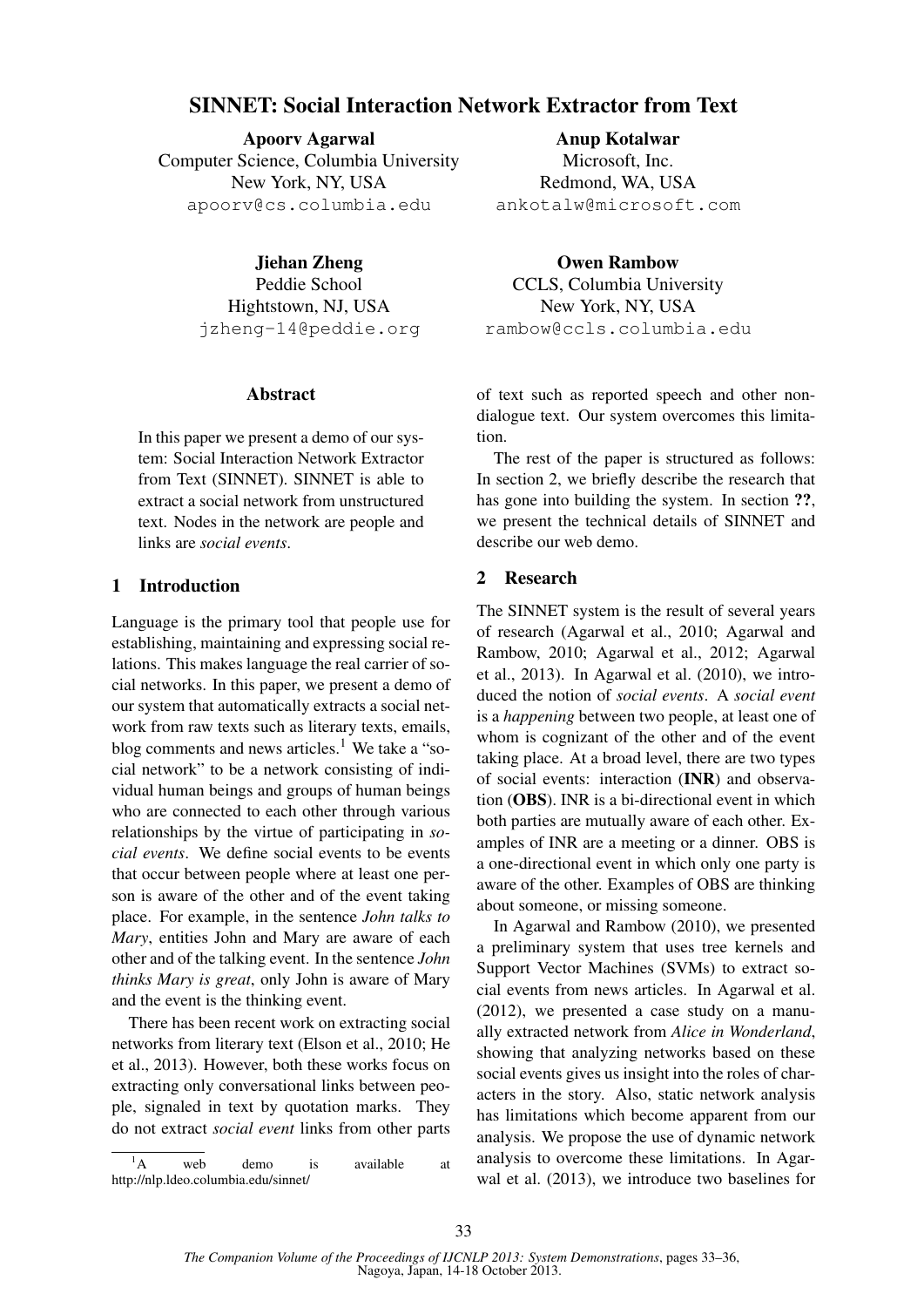# SINNET: Social Interaction Network Extractor from Text

Apoorv Agarwal Computer Science, Columbia University New York, NY, USA apoorv@cs.columbia.edu

> Jiehan Zheng Peddie School Hightstown, NJ, USA jzheng-14@peddie.org

#### Abstract

In this paper we present a demo of our system: Social Interaction Network Extractor from Text (SINNET). SINNET is able to extract a social network from unstructured text. Nodes in the network are people and links are *social events*.

# 1 Introduction

Language is the primary tool that people use for establishing, maintaining and expressing social relations. This makes language the real carrier of social networks. In this paper, we present a demo of our system that automatically extracts a social network from raw texts such as literary texts, emails, blog comments and news articles.<sup>1</sup> We take a "social network" to be a network consisting of individual human beings and groups of human beings who are connected to each other through various relationships by the virtue of participating in *social events*. We define social events to be events that occur between people where at least one person is aware of the other and of the event taking place. For example, in the sentence *John talks to Mary*, entities John and Mary are aware of each other and of the talking event. In the sentence *John thinks Mary is great*, only John is aware of Mary and the event is the thinking event.

There has been recent work on extracting social networks from literary text (Elson et al., 2010; He et al., 2013). However, both these works focus on extracting only conversational links between people, signaled in text by quotation marks. They do not extract *social event* links from other parts

 ${}^{1}$ A web demo is available at http://nlp.ldeo.columbia.edu/sinnet/

Anup Kotalwar Microsoft, Inc. Redmond, WA, USA ankotalw@microsoft.com

Owen Rambow CCLS, Columbia University New York, NY, USA rambow@ccls.columbia.edu

of text such as reported speech and other nondialogue text. Our system overcomes this limitation.

The rest of the paper is structured as follows: In section 2, we briefly describe the research that has gone into building the system. In section ??, we present the technical details of SINNET and describe our web demo.

## 2 Research

The SINNET system is the result of several years of research (Agarwal et al., 2010; Agarwal and Rambow, 2010; Agarwal et al., 2012; Agarwal et al., 2013). In Agarwal et al. (2010), we introduced the notion of *social events*. A *social event* is a *happening* between two people, at least one of whom is cognizant of the other and of the event taking place. At a broad level, there are two types of social events: interaction (INR) and observation (OBS). INR is a bi-directional event in which both parties are mutually aware of each other. Examples of INR are a meeting or a dinner. OBS is a one-directional event in which only one party is aware of the other. Examples of OBS are thinking about someone, or missing someone.

In Agarwal and Rambow (2010), we presented a preliminary system that uses tree kernels and Support Vector Machines (SVMs) to extract social events from news articles. In Agarwal et al. (2012), we presented a case study on a manually extracted network from *Alice in Wonderland*, showing that analyzing networks based on these social events gives us insight into the roles of characters in the story. Also, static network analysis has limitations which become apparent from our analysis. We propose the use of dynamic network analysis to overcome these limitations. In Agarwal et al. (2013), we introduce two baselines for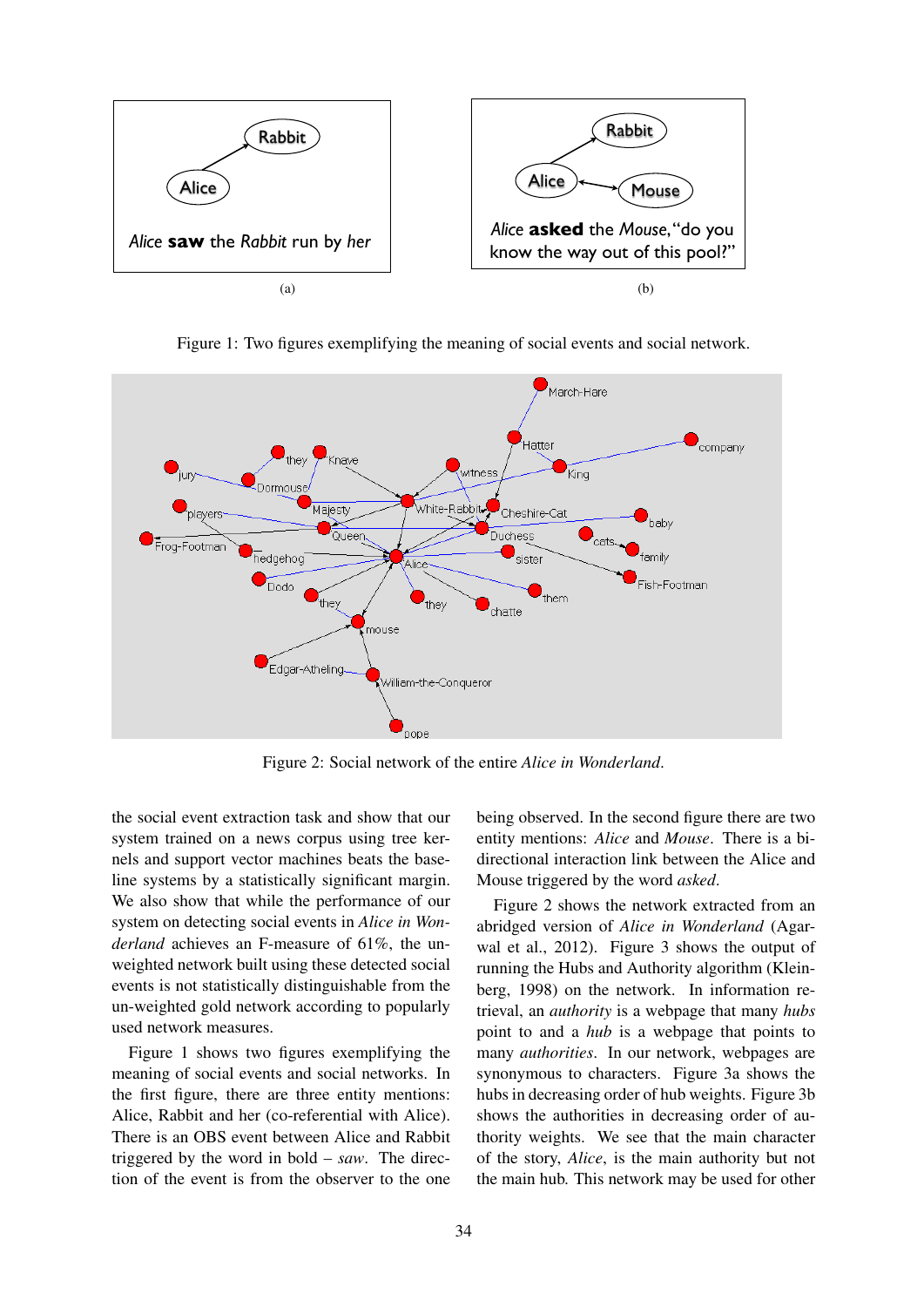

Figure 1: Two figures exemplifying the meaning of social events and social network.



Figure 2: Social network of the entire *Alice in Wonderland*.

the social event extraction task and show that our system trained on a news corpus using tree kernels and support vector machines beats the baseline systems by a statistically significant margin. We also show that while the performance of our system on detecting social events in *Alice in Wonderland* achieves an F-measure of 61%, the unweighted network built using these detected social events is not statistically distinguishable from the un-weighted gold network according to popularly used network measures.

Figure 1 shows two figures exemplifying the meaning of social events and social networks. In the first figure, there are three entity mentions: Alice, Rabbit and her (co-referential with Alice). There is an OBS event between Alice and Rabbit triggered by the word in bold – *saw*. The direction of the event is from the observer to the one being observed. In the second figure there are two entity mentions: *Alice* and *Mouse*. There is a bidirectional interaction link between the Alice and Mouse triggered by the word *asked*.

Figure 2 shows the network extracted from an abridged version of *Alice in Wonderland* (Agarwal et al., 2012). Figure 3 shows the output of running the Hubs and Authority algorithm (Kleinberg, 1998) on the network. In information retrieval, an *authority* is a webpage that many *hubs* point to and a *hub* is a webpage that points to many *authorities*. In our network, webpages are synonymous to characters. Figure 3a shows the hubs in decreasing order of hub weights. Figure 3b shows the authorities in decreasing order of authority weights. We see that the main character of the story, *Alice*, is the main authority but not the main hub. This network may be used for other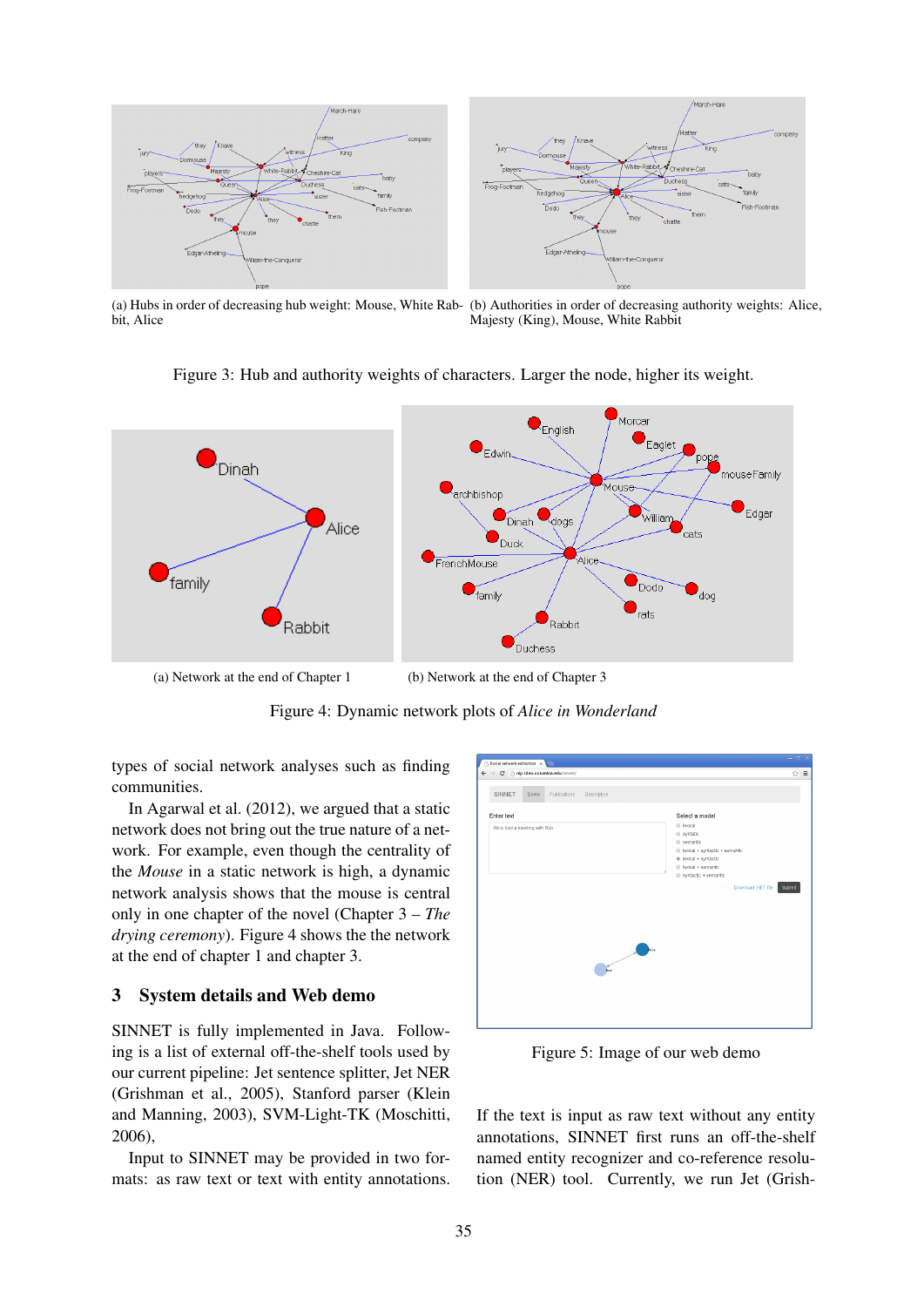

(a) Hubs in order of decreasing hub weight: Mouse, White Rab-(b) Authorities in order of decreasing authority weights: Alice, bit, Alice Majesty (King), Mouse, White Rabbit



Figure 3: Hub and authority weights of characters. Larger the node, higher its weight.

(a) Network at the end of Chapter 1 (b) Network at the end of Chapter 3

Figure 4: Dynamic network plots of *Alice in Wonderland*

types of social network analyses such as finding communities.

In Agarwal et al. (2012), we argued that a static network does not bring out the true nature of a network. For example, even though the centrality of the *Mouse* in a static network is high, a dynamic network analysis shows that the mouse is central only in one chapter of the novel (Chapter 3 – *The drying ceremony*). Figure 4 shows the the network at the end of chapter 1 and chapter 3.

## 3 System details and Web demo

SINNET is fully implemented in Java. Following is a list of external off-the-shelf tools used by our current pipeline: Jet sentence splitter, Jet NER (Grishman et al., 2005), Stanford parser (Klein and Manning, 2003), SVM-Light-TK (Moschitti, 2006),

Input to SINNET may be provided in two formats: as raw text or text with entity annotations.

| SINNET<br>Demo<br>Publications<br>Description |                                                                                                                                           |
|-----------------------------------------------|-------------------------------------------------------------------------------------------------------------------------------------------|
| Enter text<br>Alice had a meeting with Bob.   | Select a model<br>@ lexical<br>syntatic<br>$@$ semantic<br>liexical + syntactic + semantic<br>@ lexical + syntactic<br>lexical + semantic |
|                                               | Syntactic + semantic<br>Download .NET file<br>Submit                                                                                      |
| Bob                                           | $\overline{\phantom{a}}$                                                                                                                  |
|                                               |                                                                                                                                           |

Figure 5: Image of our web demo

If the text is input as raw text without any entity annotations, SINNET first runs an off-the-shelf named entity recognizer and co-reference resolution (NER) tool. Currently, we run Jet (Grish